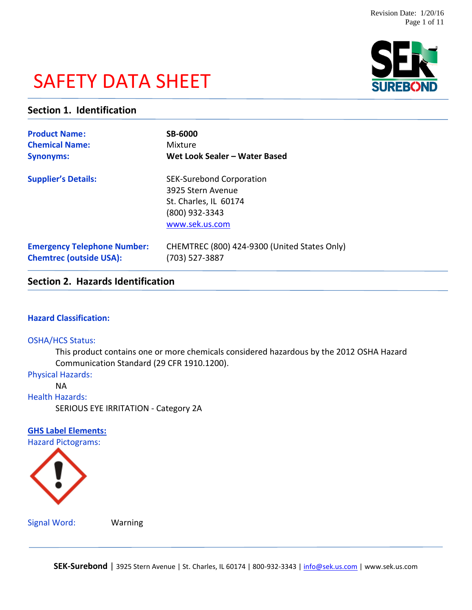# SAFETY DATA SHEET



### **Section 1. Identification**

| <b>Product Name:</b>               | <b>SB-6000</b>                                                                                                    |
|------------------------------------|-------------------------------------------------------------------------------------------------------------------|
| <b>Chemical Name:</b>              | Mixture                                                                                                           |
| <b>Synonyms:</b>                   | Wet Look Sealer - Water Based                                                                                     |
| <b>Supplier's Details:</b>         | <b>SEK-Surebond Corporation</b><br>3925 Stern Avenue<br>St. Charles, IL 60174<br>(800) 932-3343<br>www.sek.us.com |
| <b>Emergency Telephone Number:</b> | CHEMTREC (800) 424-9300 (United States Only)                                                                      |
| <b>Chemtrec (outside USA):</b>     | (703) 527-3887                                                                                                    |

# **Section 2. Hazards Identification**

### **Hazard Classification:**

### OSHA/HCS Status:

This product contains one or more chemicals considered hazardous by the 2012 OSHA Hazard Communication Standard (29 CFR 1910.1200).

Physical Hazards:

NA

Health Hazards:

SERIOUS EYE IRRITATION - Category 2A

### **GHS Label Elements:**

Hazard Pictograms:



Signal Word: Warning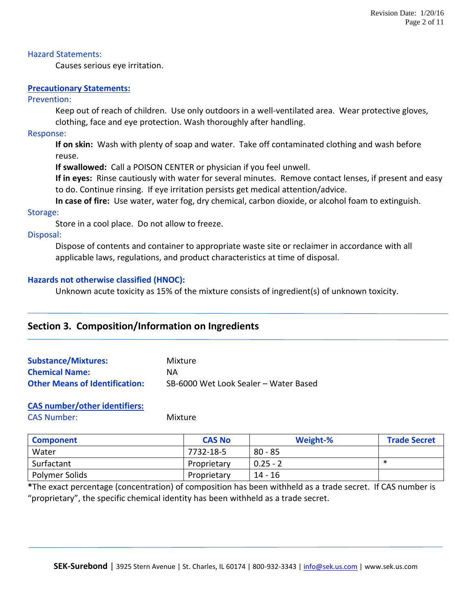### Hazard Statements:

Causes serious eye irritation.

### **Precautionary Statements:**

### Prevention:

Keep out of reach of children. Use only outdoors in a well-ventilated area. Wear protective gloves, clothing, face and eye protection. Wash thoroughly after handling.

### Response:

**If on skin:** Wash with plenty of soap and water. Take off contaminated clothing and wash before reuse.

**If swallowed:** Call a POISON CENTER or physician if you feel unwell.

**If in eyes:** Rinse cautiously with water for several minutes. Remove contact lenses, if present and easy to do. Continue rinsing. If eye irritation persists get medical attention/advice.

**In case of fire:** Use water, water fog, dry chemical, carbon dioxide, or alcohol foam to extinguish.

### Storage:

Store in a cool place. Do not allow to freeze.

### Disposal:

Dispose of contents and container to appropriate waste site or reclaimer in accordance with all applicable laws, regulations, and product characteristics at time of disposal.

### **Hazards not otherwise classified (HNOC):**

Unknown acute toxicity as 15% of the mixture consists of ingredient(s) of unknown toxicity.

### **Section 3. Composition/Information on Ingredients**

| <b>Substance/Mixtures:</b>            | Mixture                               |
|---------------------------------------|---------------------------------------|
| <b>Chemical Name:</b>                 | NA.                                   |
| <b>Other Means of Identification:</b> | SB-6000 Wet Look Sealer - Water Based |

### **CAS number/other identifiers:**

CAS Number: Mixture

| <b>Component</b> | <b>CAS No</b> | Weight-%   | <b>Trade Secret</b> |
|------------------|---------------|------------|---------------------|
| Water            | 7732-18-5     | $80 - 85$  |                     |
| Surfactant       | Proprietary   | $0.25 - 2$ | ∗                   |
| Polymer Solids   | Proprietary   | 14 - 16    |                     |

**\***The exact percentage (concentration) of composition has been withheld as a trade secret. If CAS number is "proprietary", the specific chemical identity has been withheld as a trade secret.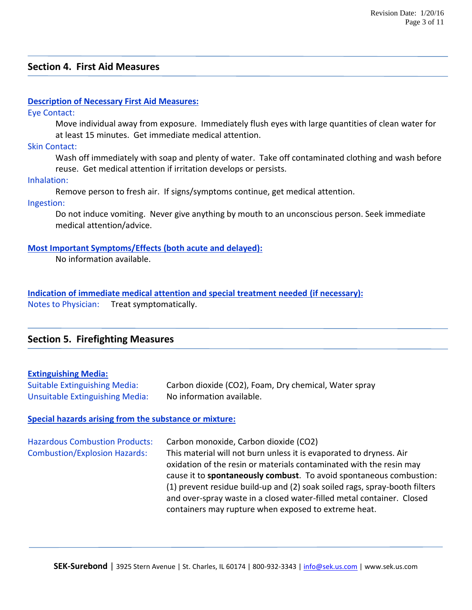### **Section 4. First Aid Measures**

### **Description of Necessary First Aid Measures:**

Eye Contact:

Move individual away from exposure. Immediately flush eyes with large quantities of clean water for at least 15 minutes. Get immediate medical attention.

Skin Contact:

Wash off immediately with soap and plenty of water. Take off contaminated clothing and wash before reuse. Get medical attention if irritation develops or persists.

Inhalation:

Remove person to fresh air. If signs/symptoms continue, get medical attention.

Ingestion:

Do not induce vomiting. Never give anything by mouth to an unconscious person. Seek immediate medical attention/advice.

### **Most Important Symptoms/Effects (both acute and delayed):**

No information available.

**Indication of immediate medical attention and special treatment needed (if necessary):** Notes to Physician: Treat symptomatically.

### **Section 5. Firefighting Measures**

### **Extinguishing Media:**

Suitable Extinguishing Media: Carbon dioxide (CO2), Foam, Dry chemical, Water spray Unsuitable Extinguishing Media: No information available.

### **Special hazards arising from the substance or mixture:**

| <b>Hazardous Combustion Products:</b> | Carbon monoxide, Carbon dioxide (CO2)                                      |
|---------------------------------------|----------------------------------------------------------------------------|
| <b>Combustion/Explosion Hazards:</b>  | This material will not burn unless it is evaporated to dryness. Air        |
|                                       | oxidation of the resin or materials contaminated with the resin may        |
|                                       | cause it to spontaneously combust. To avoid spontaneous combustion:        |
|                                       | (1) prevent residue build-up and (2) soak soiled rags, spray-booth filters |
|                                       | and over-spray waste in a closed water-filled metal container. Closed      |
|                                       | containers may rupture when exposed to extreme heat.                       |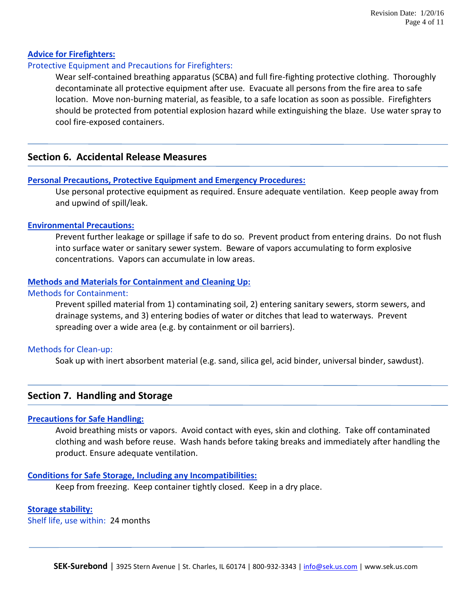### **Advice for Firefighters:**

### Protective Equipment and Precautions for Firefighters:

Wear self-contained breathing apparatus (SCBA) and full fire-fighting protective clothing. Thoroughly decontaminate all protective equipment after use. Evacuate all persons from the fire area to safe location. Move non-burning material, as feasible, to a safe location as soon as possible. Firefighters should be protected from potential explosion hazard while extinguishing the blaze. Use water spray to cool fire-exposed containers.

### **Section 6. Accidental Release Measures**

### **Personal Precautions, Protective Equipment and Emergency Procedures:**

Use personal protective equipment as required. Ensure adequate ventilation. Keep people away from and upwind of spill/leak.

### **Environmental Precautions:**

Prevent further leakage or spillage if safe to do so. Prevent product from entering drains. Do not flush into surface water or sanitary sewer system. Beware of vapors accumulating to form explosive concentrations. Vapors can accumulate in low areas.

### **Methods and Materials for Containment and Cleaning Up:**

### Methods for Containment:

Prevent spilled material from 1) contaminating soil, 2) entering sanitary sewers, storm sewers, and drainage systems, and 3) entering bodies of water or ditches that lead to waterways. Prevent spreading over a wide area (e.g. by containment or oil barriers).

### Methods for Clean-up:

Soak up with inert absorbent material (e.g. sand, silica gel, acid binder, universal binder, sawdust).

### **Section 7. Handling and Storage**

### **Precautions for Safe Handling:**

Avoid breathing mists or vapors. Avoid contact with eyes, skin and clothing. Take off contaminated clothing and wash before reuse. Wash hands before taking breaks and immediately after handling the product. Ensure adequate ventilation.

### **Conditions for Safe Storage, Including any Incompatibilities:**

Keep from freezing. Keep container tightly closed. Keep in a dry place.

### **Storage stability:**

Shelf life, use within: 24 months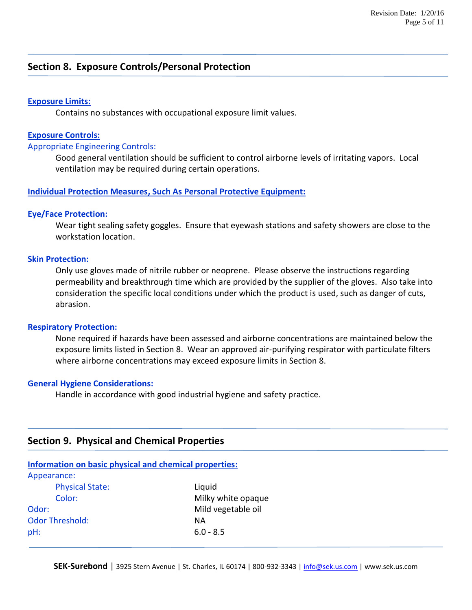### **Section 8. Exposure Controls/Personal Protection**

### **Exposure Limits:**

Contains no substances with occupational exposure limit values.

### **Exposure Controls:**

### Appropriate Engineering Controls:

Good general ventilation should be sufficient to control airborne levels of irritating vapors. Local ventilation may be required during certain operations.

### **Individual Protection Measures, Such As Personal Protective Equipment:**

### **Eye/Face Protection:**

Wear tight sealing safety goggles. Ensure that eyewash stations and safety showers are close to the workstation location.

### **Skin Protection:**

Only use gloves made of nitrile rubber or neoprene. Please observe the instructions regarding permeability and breakthrough time which are provided by the supplier of the gloves. Also take into consideration the specific local conditions under which the product is used, such as danger of cuts, abrasion.

#### **Respiratory Protection:**

None required if hazards have been assessed and airborne concentrations are maintained below the exposure limits listed in Section 8. Wear an approved air-purifying respirator with particulate filters where airborne concentrations may exceed exposure limits in Section 8.

### **General Hygiene Considerations:**

Handle in accordance with good industrial hygiene and safety practice.

### **Section 9. Physical and Chemical Properties**

| Information on basic physical and chemical properties: |                    |  |
|--------------------------------------------------------|--------------------|--|
| Appearance:                                            |                    |  |
| <b>Physical State:</b>                                 | Liquid             |  |
| Color:                                                 | Milky white opaque |  |
| Odor:                                                  | Mild vegetable oil |  |
| <b>Odor Threshold:</b>                                 | ΝA                 |  |
| pH:                                                    | $6.0 - 8.5$        |  |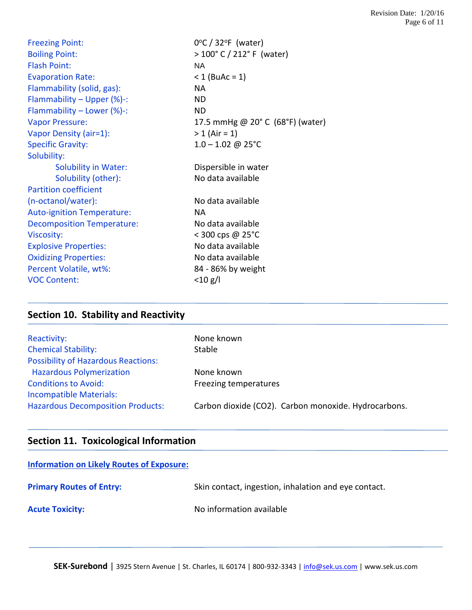| <b>Freezing Point:</b>            | $0^{\circ}$ C / 32 $^{\circ}$ F (water) |
|-----------------------------------|-----------------------------------------|
| <b>Boiling Point:</b>             | $>100^{\circ}$ C / 212° F (water)       |
| <b>Flash Point:</b>               | NA.                                     |
| <b>Evaporation Rate:</b>          | $< 1$ (BuAc = 1)                        |
| Flammability (solid, gas):        | <b>NA</b>                               |
| Flammability - Upper (%)-:        | <b>ND</b>                               |
| Flammability - Lower (%)-:        | <b>ND</b>                               |
| <b>Vapor Pressure:</b>            | 17.5 mmHg @ 20° C (68°F) (water)        |
| Vapor Density (air=1):            | $> 1$ (Air = 1)                         |
| <b>Specific Gravity:</b>          | $1.0 - 1.02 \text{ } @$ 25°C            |
| Solubility:                       |                                         |
| <b>Solubility in Water:</b>       | Dispersible in water                    |
| Solubility (other):               | No data available                       |
| <b>Partition coefficient</b>      |                                         |
| (n-octanol/water):                | No data available                       |
| <b>Auto-ignition Temperature:</b> | <b>NA</b>                               |
| <b>Decomposition Temperature:</b> | No data available                       |
| Viscosity:                        | < 300 cps @ 25°C                        |
| <b>Explosive Properties:</b>      | No data available                       |
| <b>Oxidizing Properties:</b>      | No data available                       |
| Percent Volatile, wt%:            | 84 - 86% by weight                      |
| <b>VOC Content:</b>               |                                         |

# **Section 10. Stability and Reactivity**

| Reactivity:                                | None known                                           |
|--------------------------------------------|------------------------------------------------------|
| <b>Chemical Stability:</b>                 | Stable                                               |
| <b>Possibility of Hazardous Reactions:</b> |                                                      |
| <b>Hazardous Polymerization</b>            | None known                                           |
| <b>Conditions to Avoid:</b>                | Freezing temperatures                                |
| <b>Incompatible Materials:</b>             |                                                      |
| <b>Hazardous Decomposition Products:</b>   | Carbon dioxide (CO2). Carbon monoxide. Hydrocarbons. |

# **Section 11. Toxicological Information**

| <b>Information on Likely Routes of Exposure:</b> |                                                      |
|--------------------------------------------------|------------------------------------------------------|
| <b>Primary Routes of Entry:</b>                  | Skin contact, ingestion, inhalation and eye contact. |
| <b>Acute Toxicity:</b>                           | No information available                             |

SEK-Surebond | 3925 Stern Avenue | St. Charles, IL 60174 | 800-932-3343 | [info@sek.us.com](mailto:info@sek.us.com) | www.sek.us.com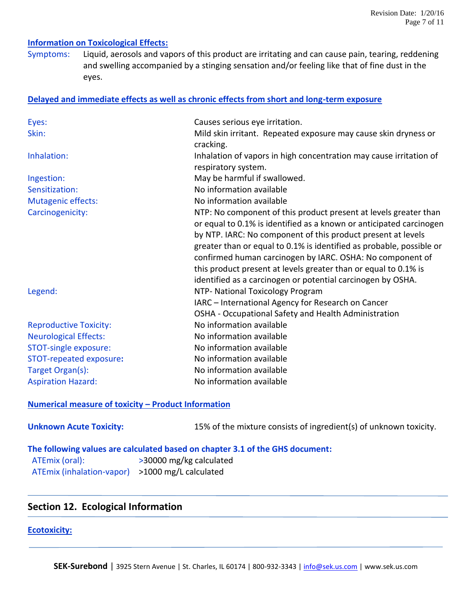### **Information on Toxicological Effects:**

Symptoms: Liquid, aerosols and vapors of this product are irritating and can cause pain, tearing, reddening and swelling accompanied by a stinging sensation and/or feeling like that of fine dust in the eyes.

#### **Delayed and immediate effects as well as chronic effects from short and long-term exposure**

| Eyes:                         | Causes serious eye irritation.                                       |
|-------------------------------|----------------------------------------------------------------------|
| Skin:                         | Mild skin irritant. Repeated exposure may cause skin dryness or      |
|                               | cracking.                                                            |
| Inhalation:                   | Inhalation of vapors in high concentration may cause irritation of   |
|                               | respiratory system.                                                  |
| Ingestion:                    | May be harmful if swallowed.                                         |
| Sensitization:                | No information available                                             |
| <b>Mutagenic effects:</b>     | No information available                                             |
| Carcinogenicity:              | NTP: No component of this product present at levels greater than     |
|                               | or equal to 0.1% is identified as a known or anticipated carcinogen  |
|                               | by NTP. IARC: No component of this product present at levels         |
|                               | greater than or equal to 0.1% is identified as probable, possible or |
|                               | confirmed human carcinogen by IARC. OSHA: No component of            |
|                               | this product present at levels greater than or equal to 0.1% is      |
|                               | identified as a carcinogen or potential carcinogen by OSHA.          |
| Legend:                       | NTP- National Toxicology Program                                     |
|                               | IARC - International Agency for Research on Cancer                   |
|                               | OSHA - Occupational Safety and Health Administration                 |
| <b>Reproductive Toxicity:</b> | No information available                                             |
| <b>Neurological Effects:</b>  | No information available                                             |
| STOT-single exposure:         | No information available                                             |
| STOT-repeated exposure:       | No information available                                             |
| Target Organ(s):              | No information available                                             |
| <b>Aspiration Hazard:</b>     | No information available                                             |

#### **Numerical measure of toxicity – Product Information**

**Unknown Acute Toxicity:** 15% of the mixture consists of ingredient(s) of unknown toxicity.

**The following values are calculated based on chapter 3.1 of the GHS document:** ATEmix (oral): >30000 mg/kg calculated ATEmix (inhalation-vapor) >1000 mg/L calculated

### **Section 12. Ecological Information**

#### **Ecotoxicity:**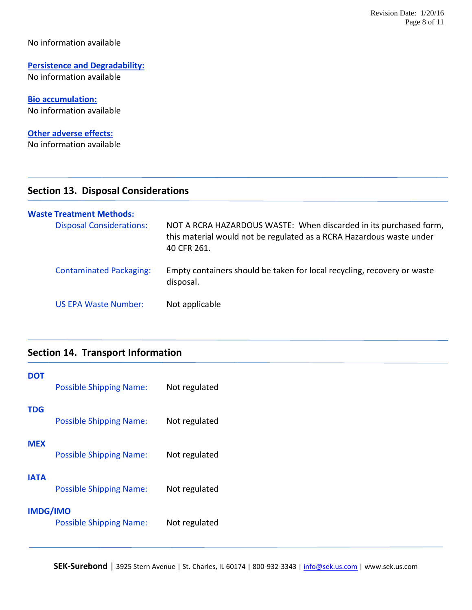### No information available

# **Persistence and Degradability:**

No information available

**Bio accumulation:** No information available

### **Other adverse effects:**

No information available

### **Section 13. Disposal Considerations**

| <b>Waste Treatment Methods:</b> |                                                                                                                                                          |
|---------------------------------|----------------------------------------------------------------------------------------------------------------------------------------------------------|
| <b>Disposal Considerations:</b> | NOT A RCRA HAZARDOUS WASTE: When discarded in its purchased form,<br>this material would not be regulated as a RCRA Hazardous waste under<br>40 CFR 261. |
| <b>Contaminated Packaging:</b>  | Empty containers should be taken for local recycling, recovery or waste<br>disposal.                                                                     |
| <b>US EPA Waste Number:</b>     | Not applicable                                                                                                                                           |

### **Section 14. Transport Information**

| DOT             | <b>Possible Shipping Name:</b> | Not regulated |
|-----------------|--------------------------------|---------------|
| TDG             | <b>Possible Shipping Name:</b> | Not regulated |
| MEX             | <b>Possible Shipping Name:</b> | Not regulated |
| IATA            | <b>Possible Shipping Name:</b> | Not regulated |
| <b>IMDG/IMO</b> | <b>Possible Shipping Name:</b> | Not regulated |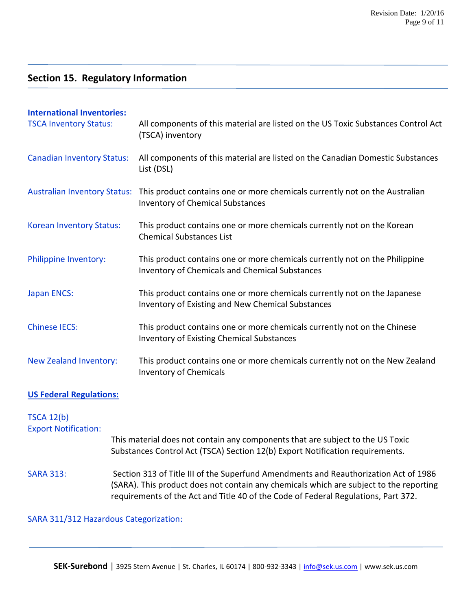# **Section 15. Regulatory Information**

| <b>International Inventories:</b><br><b>TSCA Inventory Status:</b> | All components of this material are listed on the US Toxic Substances Control Act<br>(TSCA) inventory                                                                                                                                                                |  |
|--------------------------------------------------------------------|----------------------------------------------------------------------------------------------------------------------------------------------------------------------------------------------------------------------------------------------------------------------|--|
| <b>Canadian Inventory Status:</b>                                  | All components of this material are listed on the Canadian Domestic Substances<br>List (DSL)                                                                                                                                                                         |  |
| <b>Australian Inventory Status:</b>                                | This product contains one or more chemicals currently not on the Australian<br><b>Inventory of Chemical Substances</b>                                                                                                                                               |  |
| Korean Inventory Status:                                           | This product contains one or more chemicals currently not on the Korean<br><b>Chemical Substances List</b>                                                                                                                                                           |  |
| Philippine Inventory:                                              | This product contains one or more chemicals currently not on the Philippine<br><b>Inventory of Chemicals and Chemical Substances</b>                                                                                                                                 |  |
| <b>Japan ENCS:</b>                                                 | This product contains one or more chemicals currently not on the Japanese<br>Inventory of Existing and New Chemical Substances                                                                                                                                       |  |
| <b>Chinese IECS:</b>                                               | This product contains one or more chemicals currently not on the Chinese<br><b>Inventory of Existing Chemical Substances</b>                                                                                                                                         |  |
| New Zealand Inventory:                                             | This product contains one or more chemicals currently not on the New Zealand<br><b>Inventory of Chemicals</b>                                                                                                                                                        |  |
| <b>US Federal Regulations:</b>                                     |                                                                                                                                                                                                                                                                      |  |
| <b>TSCA 12(b)</b><br><b>Export Notification:</b>                   |                                                                                                                                                                                                                                                                      |  |
|                                                                    | This material does not contain any components that are subject to the US Toxic<br>Substances Control Act (TSCA) Section 12(b) Export Notification requirements.                                                                                                      |  |
| <b>SARA 313:</b>                                                   | Section 313 of Title III of the Superfund Amendments and Reauthorization Act of 1986<br>(SARA). This product does not contain any chemicals which are subject to the reporting<br>requirements of the Act and Title 40 of the Code of Federal Regulations, Part 372. |  |
| SARA 311/312 Hazardous Categorization:                             |                                                                                                                                                                                                                                                                      |  |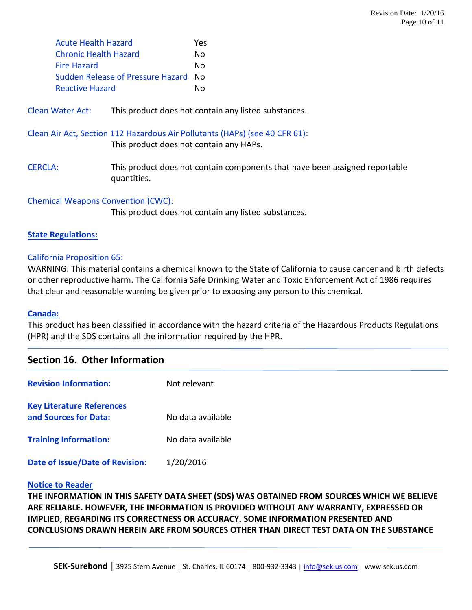| <b>Acute Health Hazard</b>        | Yes |
|-----------------------------------|-----|
| <b>Chronic Health Hazard</b>      | Nο  |
| <b>Fire Hazard</b>                | N٥  |
| Sudden Release of Pressure Hazard | N٥  |
| Reactive Hazard                   | N٥  |
|                                   |     |

Clean Water Act: This product does not contain any listed substances.

Clean Air Act, Section 112 Hazardous Air Pollutants (HAPs) (see 40 CFR 61):

This product does not contain any HAPs.

CERCLA: This product does not contain components that have been assigned reportable quantities.

Chemical Weapons Convention (CWC):

This product does not contain any listed substances.

### **State Regulations:**

### California Proposition 65:

WARNING: This material contains a chemical known to the State of California to cause cancer and birth defects or other reproductive harm. The California Safe Drinking Water and Toxic Enforcement Act of 1986 requires that clear and reasonable warning be given prior to exposing any person to this chemical.

### **Canada:**

This product has been classified in accordance with the hazard criteria of the Hazardous Products Regulations (HPR) and the SDS contains all the information required by the HPR.

### **Section 16. Other Information**

| <b>Revision Information:</b>                              | Not relevant      |
|-----------------------------------------------------------|-------------------|
| <b>Key Literature References</b><br>and Sources for Data: | No data available |
| <b>Training Information:</b>                              | No data available |
| Date of Issue/Date of Revision:                           | 1/20/2016         |

### **Notice to Reader**

**THE INFORMATION IN THIS SAFETY DATA SHEET (SDS) WAS OBTAINED FROM SOURCES WHICH WE BELIEVE ARE RELIABLE. HOWEVER, THE INFORMATION IS PROVIDED WITHOUT ANY WARRANTY, EXPRESSED OR IMPLIED, REGARDING ITS CORRECTNESS OR ACCURACY. SOME INFORMATION PRESENTED AND CONCLUSIONS DRAWN HEREIN ARE FROM SOURCES OTHER THAN DIRECT TEST DATA ON THE SUBSTANCE**